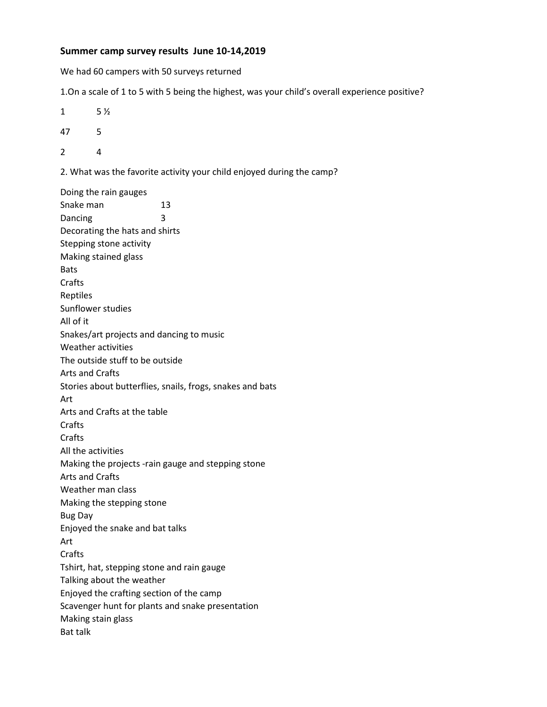## **Summer camp survey results June 10-14,2019**

We had 60 campers with 50 surveys returned

1.On a scale of 1 to 5 with 5 being the highest, was your child's overall experience positive?

- $1 \t 5 \frac{1}{2}$
- 47 5
- 2 4

2. What was the favorite activity your child enjoyed during the camp?

Doing the rain gauges Snake man 13 Dancing 3 Decorating the hats and shirts Stepping stone activity Making stained glass Bats Crafts Reptiles Sunflower studies All of it Snakes/art projects and dancing to music Weather activities The outside stuff to be outside Arts and Crafts Stories about butterflies, snails, frogs, snakes and bats Art Arts and Crafts at the table **Crafts** Crafts All the activities Making the projects -rain gauge and stepping stone Arts and Crafts Weather man class Making the stepping stone Bug Day Enjoyed the snake and bat talks Art Crafts Tshirt, hat, stepping stone and rain gauge Talking about the weather Enjoyed the crafting section of the camp Scavenger hunt for plants and snake presentation Making stain glass Bat talk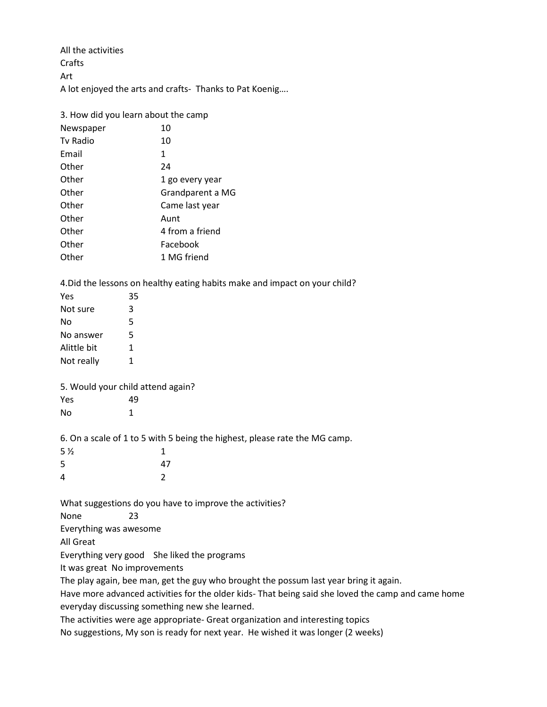All the activities Crafts Art A lot enjoyed the arts and crafts- Thanks to Pat Koenig….

3. How did you learn about the camp Newspaper 10 Tv Radio 10 Email 1 Other 24 Other 1 go every year Other Grandparent a MG Other Came last year Other Aunt Other 4 from a friend Other Facebook Other 1 MG friend

4.Did the lessons on healthy eating habits make and impact on your child?

| Yes                               | 35 |                                                                                                    |
|-----------------------------------|----|----------------------------------------------------------------------------------------------------|
| Not sure                          | 3  |                                                                                                    |
| No                                | 5  |                                                                                                    |
| No answer                         | 5  |                                                                                                    |
| Alittle bit                       | 1  |                                                                                                    |
| Not really                        | 1  |                                                                                                    |
| 5. Would your child attend again? |    |                                                                                                    |
| Yes                               | 49 |                                                                                                    |
| No                                | 1  |                                                                                                    |
|                                   |    | 6. On a scale of 1 to 5 with 5 being the highest, please rate the MG camp.                         |
| 5 <sub>2</sub>                    |    | 1                                                                                                  |
| 5                                 |    | 47                                                                                                 |
| 4                                 |    | $\overline{2}$                                                                                     |
|                                   |    | What suggestions do you have to improve the activities?                                            |
| None                              | 23 |                                                                                                    |
| Everything was awesome            |    |                                                                                                    |
| All Great                         |    |                                                                                                    |
|                                   |    | Everything very good She liked the programs                                                        |
| It was great No improvements      |    |                                                                                                    |
|                                   |    | The play again, bee man, get the guy who brought the possum last year bring it again.              |
|                                   |    | Have more advanced activities for the older kids- That being said she loved the camp and came home |
|                                   |    | everyday discussing something new she learned.                                                     |
|                                   |    |                                                                                                    |

The activities were age appropriate- Great organization and interesting topics

No suggestions, My son is ready for next year. He wished it was longer (2 weeks)